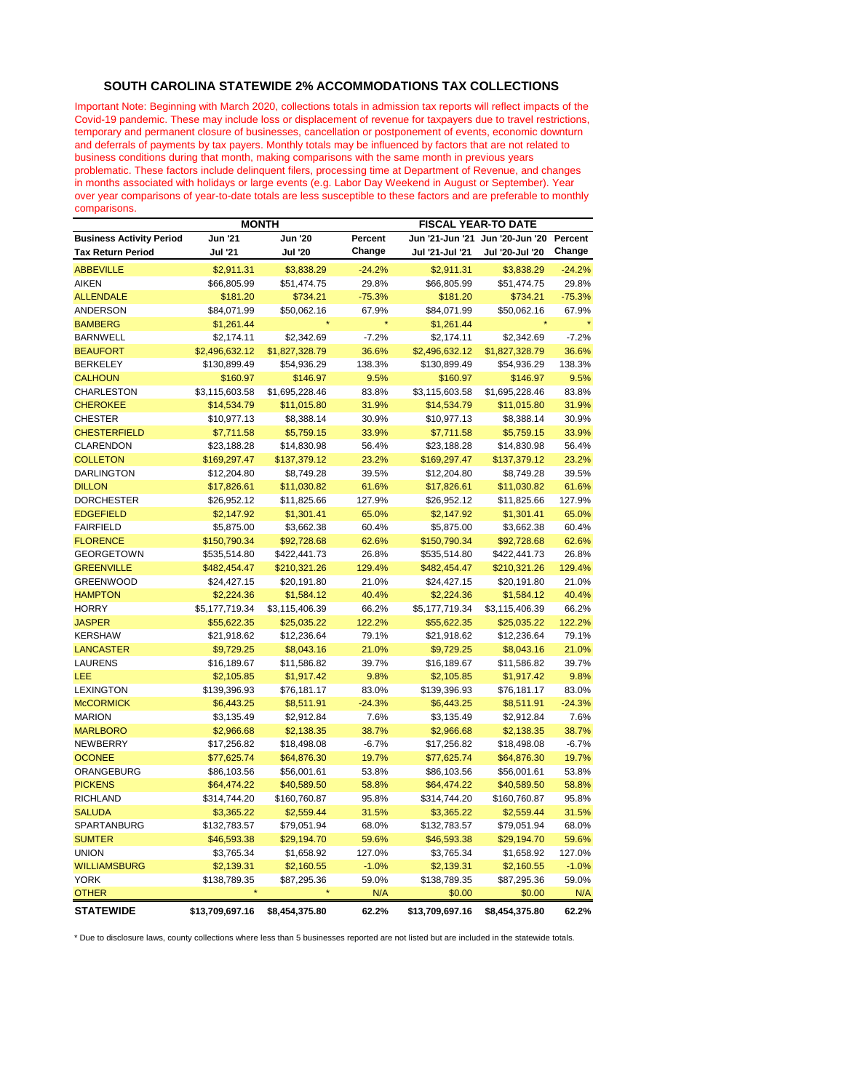## **SOUTH CAROLINA STATEWIDE 2% ACCOMMODATIONS TAX COLLECTIONS**

Important Note: Beginning with March 2020, collections totals in admission tax reports will reflect impacts of the Covid-19 pandemic. These may include loss or displacement of revenue for taxpayers due to travel restrictions, temporary and permanent closure of businesses, cancellation or postponement of events, economic downturn and deferrals of payments by tax payers. Monthly totals may be influenced by factors that are not related to business conditions during that month, making comparisons with the same month in previous years problematic. These factors include delinquent filers, processing time at Department of Revenue, and changes in months associated with holidays or large events (e.g. Labor Day Weekend in August or September). Year over year comparisons of year-to-date totals are less susceptible to these factors and are preferable to monthly comparisons.

|                                 | <b>MONTH</b>    |                |                | <b>FISCAL YEAR-TO DATE</b> |                 |          |  |
|---------------------------------|-----------------|----------------|----------------|----------------------------|-----------------|----------|--|
| <b>Business Activity Period</b> | <b>Jun '21</b>  | <b>Jun '20</b> | Percent        | Jun '21-Jun '21            | Jun '20-Jun '20 | Percent  |  |
| <b>Tax Return Period</b>        | Jul '21         | <b>Jul '20</b> | Change         | Jul '21-Jul '21            | Jul '20-Jul '20 | Change   |  |
| <b>ABBEVILLE</b>                | \$2,911.31      | \$3,838.29     | $-24.2%$       | \$2,911.31                 | \$3,838.29      | $-24.2%$ |  |
| <b>AIKEN</b>                    | \$66,805.99     | \$51,474.75    | 29.8%          | \$66,805.99                | \$51,474.75     | 29.8%    |  |
| <b>ALLENDALE</b>                | \$181.20        | \$734.21       | $-75.3%$       | \$181.20                   | \$734.21        | $-75.3%$ |  |
| <b>ANDERSON</b>                 | \$84,071.99     | \$50,062.16    | 67.9%          | \$84,071.99                | \$50,062.16     | 67.9%    |  |
| <b>BAMBERG</b>                  | \$1,261.44      |                |                | \$1,261.44                 |                 |          |  |
| <b>BARNWELL</b>                 | \$2,174.11      | \$2,342.69     | $-7.2%$        | \$2,174.11                 | \$2,342.69      | $-7.2%$  |  |
| <b>BEAUFORT</b>                 | \$2,496,632.12  | \$1,827,328.79 | 36.6%          | \$2,496,632.12             | \$1,827,328.79  | 36.6%    |  |
| <b>BERKELEY</b>                 | \$130,899.49    | \$54,936.29    | 138.3%         | \$130,899.49               | \$54,936.29     | 138.3%   |  |
| <b>CALHOUN</b>                  | \$160.97        | \$146.97       | 9.5%           | \$160.97                   | \$146.97        | 9.5%     |  |
| CHARLESTON                      | \$3,115,603.58  | \$1,695,228.46 | 83.8%          | \$3,115,603.58             | \$1,695,228.46  | 83.8%    |  |
| <b>CHEROKEE</b>                 | \$14,534.79     | \$11,015.80    | 31.9%          | \$14,534.79                | \$11,015.80     | 31.9%    |  |
| <b>CHESTER</b>                  | \$10,977.13     | \$8,388.14     | 30.9%          | \$10,977.13                | \$8,388.14      | 30.9%    |  |
| <b>CHESTERFIELD</b>             | \$7,711.58      | \$5,759.15     | 33.9%          | \$7,711.58                 | \$5,759.15      | 33.9%    |  |
| <b>CLARENDON</b>                | \$23,188.28     | \$14,830.98    | 56.4%          | \$23,188.28                | \$14,830.98     | 56.4%    |  |
| <b>COLLETON</b>                 | \$169,297.47    | \$137,379.12   | 23.2%          | \$169,297.47               | \$137,379.12    | 23.2%    |  |
| <b>DARLINGTON</b>               | \$12,204.80     | \$8,749.28     | 39.5%          | \$12,204.80                | \$8,749.28      | 39.5%    |  |
| <b>DILLON</b>                   | \$17,826.61     | \$11,030.82    | 61.6%          | \$17,826.61                | \$11,030.82     | 61.6%    |  |
| <b>DORCHESTER</b>               | \$26,952.12     | \$11,825.66    | 127.9%         | \$26,952.12                | \$11,825.66     | 127.9%   |  |
| <b>EDGEFIELD</b>                | \$2,147.92      | \$1,301.41     | 65.0%          | \$2,147.92                 | \$1,301.41      | 65.0%    |  |
| <b>FAIRFIELD</b>                | \$5,875.00      | \$3,662.38     | 60.4%          | \$5,875.00                 | \$3,662.38      | 60.4%    |  |
| <b>FLORENCE</b>                 | \$150,790.34    | \$92,728.68    | 62.6%          | \$150,790.34               | \$92,728.68     | 62.6%    |  |
| <b>GEORGETOWN</b>               | \$535,514.80    | \$422,441.73   | 26.8%          | \$535,514.80               | \$422,441.73    | 26.8%    |  |
| <b>GREENVILLE</b>               | \$482,454.47    | \$210,321.26   | 129.4%         | \$482,454.47               | \$210,321.26    | 129.4%   |  |
| <b>GREENWOOD</b>                | \$24,427.15     | \$20,191.80    | 21.0%          | \$24,427.15                | \$20,191.80     | 21.0%    |  |
| <b>HAMPTON</b>                  | \$2,224.36      | \$1,584.12     | 40.4%          | \$2,224.36                 | \$1,584.12      | 40.4%    |  |
| <b>HORRY</b>                    | \$5,177,719.34  | \$3,115,406.39 | 66.2%          | \$5,177,719.34             | \$3,115,406.39  | 66.2%    |  |
| <b>JASPER</b>                   | \$55,622.35     | \$25,035.22    | 122.2%         | \$55,622.35                | \$25,035.22     | 122.2%   |  |
| <b>KERSHAW</b>                  | \$21,918.62     | \$12,236.64    | 79.1%          | \$21,918.62                | \$12,236.64     | 79.1%    |  |
| <b>LANCASTER</b>                | \$9,729.25      | \$8,043.16     | 21.0%          | \$9,729.25                 | \$8,043.16      | 21.0%    |  |
| <b>LAURENS</b>                  | \$16,189.67     | \$11,586.82    | 39.7%          | \$16,189.67                | \$11,586.82     | 39.7%    |  |
| LEE                             | \$2,105.85      | \$1,917.42     | 9.8%           | \$2,105.85                 | \$1,917.42      | 9.8%     |  |
| <b>LEXINGTON</b>                | \$139,396.93    | \$76,181.17    | 83.0%          | \$139,396.93               | \$76,181.17     | 83.0%    |  |
| <b>McCORMICK</b>                | \$6,443.25      | \$8,511.91     | $-24.3%$       | \$6,443.25                 | \$8,511.91      | $-24.3%$ |  |
| <b>MARION</b>                   | \$3,135.49      | \$2,912.84     | 7.6%           | \$3,135.49                 | \$2,912.84      | 7.6%     |  |
| <b>MARLBORO</b>                 | \$2,966.68      | \$2,138.35     | 38.7%          | \$2,966.68                 | \$2,138.35      | 38.7%    |  |
| <b>NEWBERRY</b>                 | \$17,256.82     | \$18,498.08    | $-6.7%$        | \$17,256.82                | \$18,498.08     | $-6.7%$  |  |
| <b>OCONEE</b>                   | \$77,625.74     | \$64,876.30    | 19.7%          | \$77,625.74                | \$64,876.30     | 19.7%    |  |
| ORANGEBURG                      | \$86,103.56     | \$56,001.61    |                |                            | \$56,001.61     | 53.8%    |  |
| <b>PICKENS</b>                  | \$64,474.22     | \$40,589.50    | 53.8%<br>58.8% | \$86,103.56<br>\$64,474.22 | \$40,589.50     | 58.8%    |  |
| <b>RICHLAND</b>                 | \$314,744.20    | \$160,760.87   | 95.8%          | \$314,744.20               | \$160,760.87    | 95.8%    |  |
| <b>SALUDA</b>                   |                 |                | 31.5%          |                            |                 | 31.5%    |  |
|                                 | \$3,365.22      | \$2,559.44     |                | \$3,365.22                 | \$2,559.44      |          |  |
| SPARTANBURG                     | \$132,783.57    | \$79,051.94    | 68.0%          | \$132,783.57               | \$79,051.94     | 68.0%    |  |
| <b>SUMTER</b>                   | \$46,593.38     | \$29,194.70    | 59.6%          | \$46,593.38                | \$29,194.70     | 59.6%    |  |
| <b>UNION</b>                    | \$3,765.34      | \$1,658.92     | 127.0%         | \$3,765.34                 | \$1,658.92      | 127.0%   |  |
| <b>WILLIAMSBURG</b>             | \$2,139.31      | \$2,160.55     | $-1.0%$        | \$2,139.31                 | \$2,160.55      | $-1.0%$  |  |
| <b>YORK</b>                     | \$138,789.35    | \$87,295.36    | 59.0%          | \$138,789.35               | \$87,295.36     | 59.0%    |  |
| <b>OTHER</b>                    |                 |                | N/A            | \$0.00                     | \$0.00          | N/A      |  |
| <b>STATEWIDE</b>                | \$13,709,697.16 | \$8,454,375.80 | 62.2%          | \$13,709,697.16            | \$8,454,375.80  | 62.2%    |  |

\* Due to disclosure laws, county collections where less than 5 businesses reported are not listed but are included in the statewide totals.